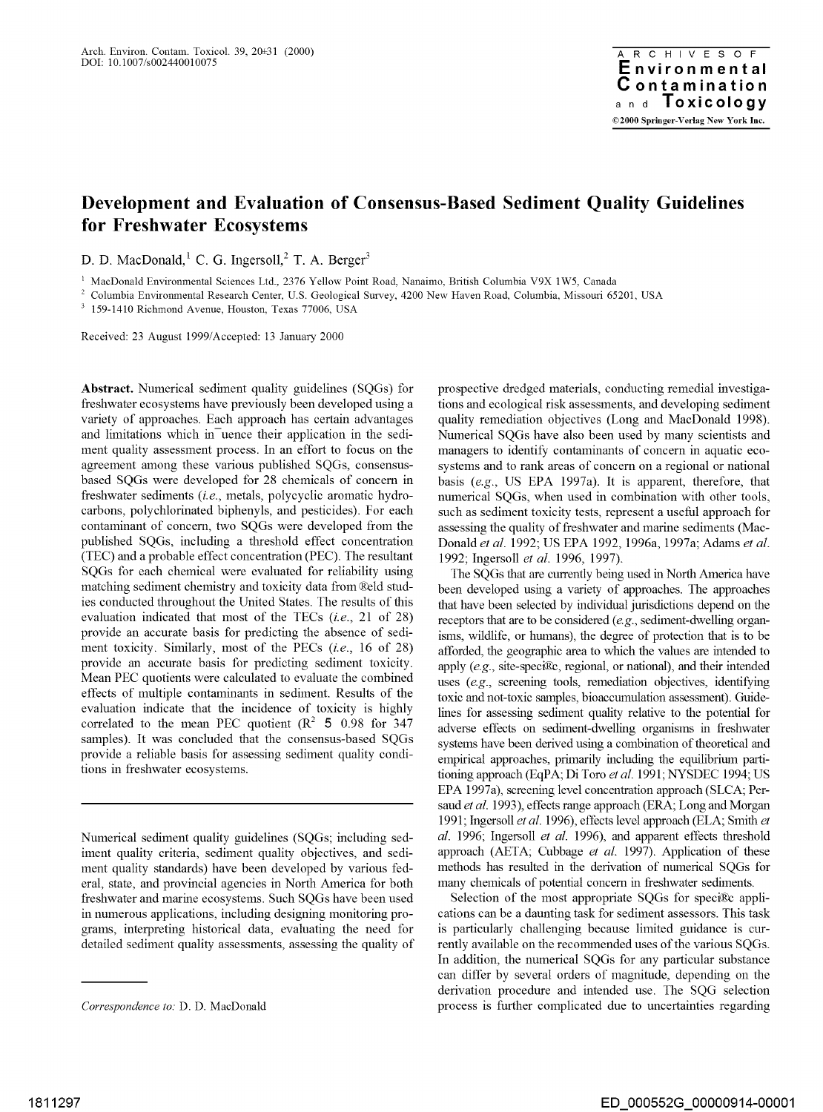# **Development and Evaluation of Consensus-Based Sediment Quality Guidelines for Freshwater Ecosystems**

D. D. MacDonald, <sup>1</sup> C. G. Ingersoll,  $<sup>2</sup>$  T. A. Berger<sup>3</sup></sup>

<sup>1</sup> MacDonald Environmental Sciences Ltd., 2376 Yellow Point Road, Nanaimo, British Columbia V9X 1W5, Canada

<sup>2</sup> Columbia Environmental Research Center, U.S. Geological Survey, 4200 New Haven Road, Columbia, Missouri 65201, USA

<sup>3</sup>159-1410 Richmond Avenue, Houston, Texas 77006, USA

Received: 23 August 1999/Accepted: 13 January 2000

**Abstract.** Numerical sediment quality guidelines (SQGs) for freshwater ecosystems have previously been developed using a variety of approaches. Each approach has certain advantages and limitations which in uence their application in the sediment quality assessment process. In an effort to focus on the agreement among these various published SQGs, consensusbased SQGs were developed for 28 chemicals of concern in freshwater sediments *(i.e.,* metals, polycyclic aromatic hydrocarbons, polychlorinated biphenyls, and pesticides). For each contaminant of concern, two SQGs were developed from the published SQGs, including a threshold effect concentration (TEC) and a probable effect concentration (PEC). The resultant SQGs for each chemical were evaluated for reliability using matching sediment chemistry and toxicity data from ®eld studies conducted throughout the United States. The results of this evaluation indicated that most of the TECs *(i.e.,* 21 of 28) provide an accurate basis for predicting the absence of sediment toxicity. Similarly, most of the PECs *(i.e.,* 16 of 28) provide an accurate basis for predicting sediment toxicity. Mean PEC quotients were calculated to evaluate the combined effects of multiple contaminants in sediment. Results of the evaluation indicate that the incidence of toxicity is highly correlated to the mean PEC quotient  $(R^2 \t5 0.98$  for 347 samples). It was concluded that the consensus-based SQGs provide a reliable basis for assessing sediment quality conditions in freshwater ecosystems.

Numerical sediment quality guidelines (SQGs; including sediment quality criteria, sediment quality objectives, and sediment quality standards) have been developed by various federal, state, and provincial agencies in North America for both freshwater and marine ecosystems. Such SQGs have been used in numerous applications, including designing monitoring programs, interpreting historical data, evaluating the need for detailed sediment quality assessments, assessing the quality of prospective dredged materials, conducting remedial investigations and ecological risk assessments, and developing sediment quality remediation objectives (Long and MacDonald 1998). Numerical SQGs have also been used by many scientists and managers to identify contaminants of concern in aquatic ecosystems and to rank areas of concern on a regional or national basis (e.g., US EPA 1997a). It is apparent, therefore, that numerical SQGs, when used in combination with other tools, such as sediment toxicity tests, represent a useful approach for assessing the quality of freshwater and marine sediments (Mac-Donald *et al.* 1992; US EPA 1992, 1996a, 1997a; Adams *et al.*  1992; Ingersoll *et al.* 1996, 1997).

The SQGs that are currently being used in North America have been developed using a variety of approaches. The approaches that have been selected by individual jurisdictions depend on the receptors that are to be considered (e.g., sediment-dwelling organisms, wildlife, or humans), the degree of protection that is to be afforded, the geographic area to which the values are intended to apply  $(e.g., site-specific, regional, or national),$  and their intended uses (e.g., screening tools, remediation objectives, identifying toxic and not-toxic samples, bioaccumulation assessment). Guidelines for assessing sediment quality relative to the potential for adverse effects on sediment-dwelling organisms in freshwater systems have been derived using a combination of theoretical and empirical approaches, primarily including the equilibrium partitioning approach (EqPA; Di Toro *et al.* 1991; NYSDEC 1994; US EPA 1997a), screening level concentration approach (SLCA; Persaud *et al.* 1993), effects range approach (ERA; Long and Morgan 1991; Ingersoll *et al.* 1996), effects level approach (ELA; Smith *et al.* 1996; Ingersoll *et al.* 1996), and apparent effects threshold approach (AETA; Cubbage *et al.* 1997). Application of these methods has resulted in the derivation of numerical SQGs for many chemicals of potential concern in freshwater sediments.

Selection of the most appropriate SQGs for speci®c applications can be a daunting task for sediment assessors. This task is particularly challenging because limited guidance is currently available on the recommended uses of the various SQGs. In addition, the numerical SQGs for any particular substance can differ by several orders of magnitude, depending on the derivation procedure and intended use. The SQG selection process is further complicated due to uncertainties regarding

*Correspondence to:* D. D. MacDonald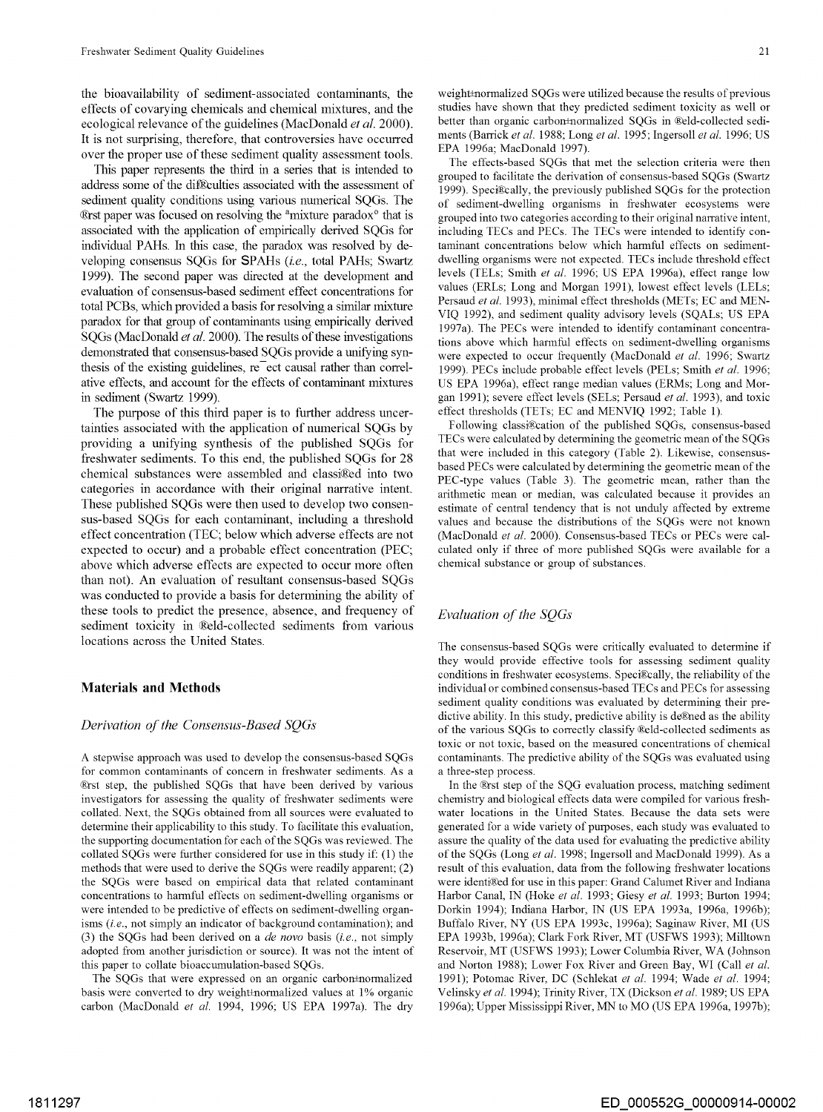the bioavailability of sediment-associated contaminants, the effects of covarying chemicals and chemical mixhires, and the ecological relevance of the guidelines (MacDonald *et al.* 2000). It is not surprising, therefore, that controversies have occurred over the proper use of these sediment quality assessment tools.

This paper represents the third in a series that is intended to address some of the diffeculties associated with the assessment of sediment quality conditions using various numerical SQGs. The ®rst paper was focused on resolving the <sup>a</sup>mixture paradox<sup>o</sup> that is associated with the application of empirically derived SQGs for individual PAHs. In this case, the paradox was resolved by developing consensus SQGs for SPAHs (i.e., total PAHs; Swartz 1999). The second paper was directed at the development and evaluation of consensus-based sediment effect concentrations for total PCBs, which provided a basis for resolving a similar mixture paradox for that group of contaminants using empirically derived SQGs (MacDonald *et al.* 2000). The results of these investigations demonstrated that consensus-based SQGs provide a unifying synthesis of the existing guidelines,  $re<sup>-</sup>$ ect causal rather than correlative effects, and account for the effects of contaminant mixtures in sediment (Swartz 1999).

The purpose of this third paper is to further address uncertainties associated with the application of numerical SQGs by providing a unifying synthesis of the published SQGs for freshwater sediments. To this end, the published SQGs for 28 chemical substances were assembled and classi®ed into two categories in accordance with their original narrative intent. These published SQGs were then used to develop two consensus-based SQGs for each contaminant, including a threshold effect concentration (TEC; below which adverse effects are not expected to occur) and a probable effect concentration (PEC; above which adverse effects are expected to occur more often than not). An evaluation of resultant consensus-based SQGs was conducted to provide a basis for determining the ability of these tools to predict the presence, absence, and frequency of sediment toxicity in ®eld-collected sediments from various locations across the United States.

### **Materials and Methods**

### *Derivation of the Consensus-Based SQGs*

A stepwise approach was used to develop the consensus-based SQGs for common contaminants of concern in freshwater sediments. As a ®rst step, the published SQGs that have been derived by various investigators for assessing the quality of freshwater sediments were collated. Next, the SQGs obtained from all sources were evaluated to determine their applicability to this study. To facilitate this evaluation, the supporting documentation for each of the SQGs was reviewed. The collated SQGs were further considered for use in this study if: (1) the methods that were used to derive the SQGs were readily apparent; (2) the SQGs were based on empirical data that related contaminant concentrations to harmful effects on sediment-dwelling organisms or were intended to be predictive of effects on sediment-dwelling organisms (i.e., not simply an indicator of background contamination); and (3) the SQGs had been derived on a *de nova* basis (i.e., not simply adopted from another jurisdiction or source). It was not the intent of this paper to collate bioaccumulation-based SQGs.

The SQGs that were expressed on an organic carbon±normalized basis were converted to dry weight±normalized values at 1% organic carbon (MacDonald *et al.* 1994, 1996; US EPA 1997a). The dry

weight±normalized SQGs were utilized because the results of previous studies have shown that they predicted sediment toxicity as well or better than organic carbon±normalized SQGs in ®eld-collected sediments (Barrick *et al.* 1988; Long *et al.* 1995; Ingersoll *et al.* 1996; US EPA 1996a; MacDonald 1997).

The effects-based SQGs that met the selection criteria were then grouped to facilitate the derivation of consensus-based SQGs (Swartz 1999). Speci®cally, the previously published SQGs for the protection of sediment-dwelling organisms in freshwater ecosystems were grouped into two categories according to their original narrative intent, including TECs and PECs. The TECs were intended to identify contaminant concentrations below which harmful effects on sedimentdwelling organisms were not expected. TECs include threshold effect levels (TELs; Smith *et al.* 1996; US EPA 1996a), effect range low values (ERLs; Long and Morgan 1991), lowest effect levels (LELs; Persaud *et al.* 1993), minimal effect thresholds (METs; EC and MEN-VIQ 1992), and sediment quality advisory levels (SQALs; US EPA 1997a). The PECs were intended to identify contaminant concentrations above which harmful effects on sediment-dwelling organisms were expected to occur frequently (MacDonald et al. 1996; Swartz 1999). PECs include probable effect levels (PELs; Smith *et al.* 1996; US EPA 1996a), effect range median values (ERMs; Long and Morgan 1991); severe effect levels (SELs; Persaud *et al.* 1993), and toxic effect thresholds (TETs; EC and MENVIQ 1992; Table 1).

Following classi®cation of the published SQGs, consensus-based TECs were calculated by determining the geometric mean of the SQGs that were included in this category (Table 2). Likewise, consensusbased PECs were calculated by determining the geometric mean of the PEC-type values (Table 3). The geometric mean, rather than the arithmetic mean or median, was calculated because it provides an estimate of central tendency that is not unduly affected by extreme values and because the distributions of the SQGs were not known (MacDonald *et al.* 2000). Consensus-based TECs or PECs were calculated only if three of more published SQGs were available for a chemical substance or group of substances.

## *Evaluation of the SQGs*

The consensus-based SQGs were critically evaluated to determine if they would provide effective tools for assessing sediment quality conditions in freshwater ecosystems. Speci®cally, the reliability of the individual or combined consensus-based TECs and PECs for assessing sediment quality conditions was evaluated by determining their predictive ability. In this study, predictive ability is de®ned as the ability of the various SQGs to correctly classify ®eld-collected sediments as toxic or not toxic, based on the measured concentrations of chemical contaminants. The predictive ability of the SQGs was evaluated using a three-step process.

In the ®rst step of the SQG evaluation process, matching sediment chemistry and biological effects data were compiled for various freshwater locations in the United States. Because the data sets were generated for a wide variety of purposes, each study was evaluated to assure the quality of the data used for evaluating the predictive ability of the SQGs (Long *et al.* 1998; Ingersoll and MacDonald 1999). As a result of this evaluation, data from the following freshwater locations were identi®ed for use in this paper: Grand Calumet River and Indiana Harbor Canal, **IN** (Hoke *et al.* 1993; Giesy *et al.* 1993; Burton 1994; Dorkin 1994); Indiana Harbor, **IN** (US EPA 1993a, 1996a, 1996b); Buffalo River, NY (US EPA 1993c, 1996a); Saginaw River, MI (US EPA 1993b, 1996a); Clark Fork River, MT (USFWS 1993); Milltown Reservoir, MT (USFWS 1993); Lower Columbia River, WA (Johnson and Norton 1988); Lower Fox River and Green Bay, WI (Call *et al.*  1991); Potomac River, DC (Schlekat *et al.* 1994; Wade *et al.* 1994; Velinsky *et al.* 1994); Trinity River, TX (Dickson *et al.* 1989; US EPA 1996a); Upper Mississippi River, MN to MO (US EPA 1996a, 1997b);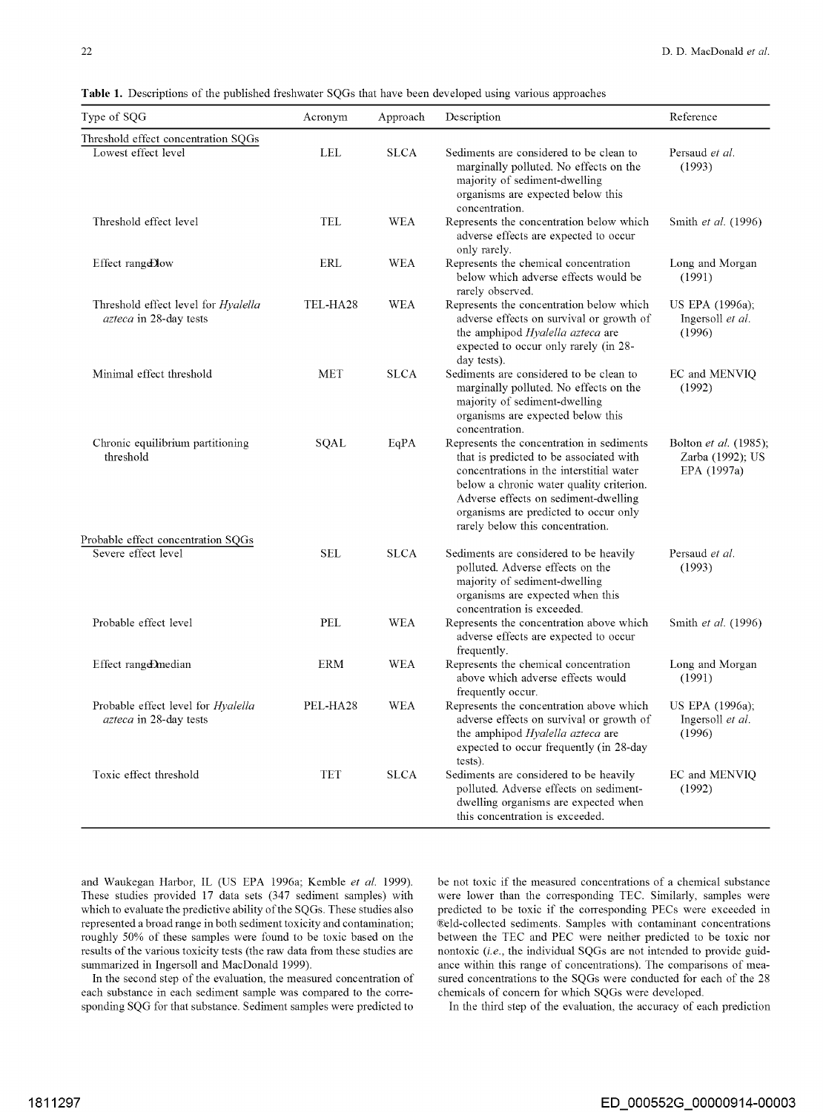| Type of SQG                                                         | Acronym    | Approach    | Description                                                                                                                                                                                                                                                                                       | Reference                                                |
|---------------------------------------------------------------------|------------|-------------|---------------------------------------------------------------------------------------------------------------------------------------------------------------------------------------------------------------------------------------------------------------------------------------------------|----------------------------------------------------------|
| Threshold effect concentration SQGs                                 |            |             |                                                                                                                                                                                                                                                                                                   |                                                          |
| Lowest effect level                                                 | <b>LEL</b> | <b>SLCA</b> | Sediments are considered to be clean to<br>marginally polluted. No effects on the<br>majority of sediment-dwelling<br>organisms are expected below this<br>concentration.                                                                                                                         | Persaud et al.<br>(1993)                                 |
| Threshold effect level                                              | <b>TEL</b> | <b>WEA</b>  | Represents the concentration below which<br>adverse effects are expected to occur<br>only rarely.                                                                                                                                                                                                 | Smith <i>et al.</i> (1996)                               |
| Effect range Dow                                                    | ERL        | <b>WEA</b>  | Represents the chemical concentration<br>below which adverse effects would be<br>rarely observed.                                                                                                                                                                                                 | Long and Morgan<br>(1991)                                |
| Threshold effect level for Hyalella<br>azteca in 28-day tests       | TEL-HA28   | WEA         | Represents the concentration below which<br>adverse effects on survival or growth of<br>the amphipod <i>Hyalella azteca</i> are<br>expected to occur only rarely (in 28-<br>day tests).                                                                                                           | US EPA (1996a);<br>Ingersoll et al.<br>(1996)            |
| Minimal effect threshold                                            | <b>MET</b> | <b>SLCA</b> | Sediments are considered to be clean to<br>marginally polluted. No effects on the<br>majority of sediment-dwelling<br>organisms are expected below this<br>concentration.                                                                                                                         | EC and MENVIO<br>(1992)                                  |
| Chronic equilibrium partitioning<br>threshold                       | SQAL       | EqPA        | Represents the concentration in sediments<br>that is predicted to be associated with<br>concentrations in the interstitial water<br>below a chronic water quality criterion.<br>Adverse effects on sediment-dwelling<br>organisms are predicted to occur only<br>rarely below this concentration. | Bolton et al. (1985);<br>Zarba (1992); US<br>EPA (1997a) |
| Probable effect concentration SQGs                                  |            |             |                                                                                                                                                                                                                                                                                                   |                                                          |
| Severe effect level                                                 | <b>SEL</b> | <b>SLCA</b> | Sediments are considered to be heavily<br>polluted. Adverse effects on the<br>majority of sediment-dwelling<br>organisms are expected when this<br>concentration is exceeded.                                                                                                                     | Persaud et al.<br>(1993)                                 |
| Probable effect level                                               | PEL        | <b>WEA</b>  | Represents the concentration above which<br>adverse effects are expected to occur<br>frequently.                                                                                                                                                                                                  | Smith et al. (1996)                                      |
| Effect range Dmedian                                                | <b>ERM</b> | <b>WEA</b>  | Represents the chemical concentration<br>above which adverse effects would<br>frequently occur.                                                                                                                                                                                                   | Long and Morgan<br>(1991)                                |
| Probable effect level for <i>Hyalella</i><br>azteca in 28-day tests | PEL-HA28   | WEA         | Represents the concentration above which<br>adverse effects on survival or growth of<br>the amphipod Hyalella azteca are<br>expected to occur frequently (in 28-day<br>tests).                                                                                                                    | US EPA (1996a);<br>Ingersoll et al.<br>(1996)            |
| Toxic effect threshold                                              | TET        | <b>SLCA</b> | Sediments are considered to be heavily<br>polluted. Adverse effects on sediment-<br>dwelling organisms are expected when<br>this concentration is exceeded.                                                                                                                                       | EC and MENVIQ<br>(1992)                                  |

**Table 1.** Descriptions of the published freshwater SQGs that have been developed using various approaches

and Waukegan Harbor, IL (US EPA 1996a; Kemble *et al.* 1999). These studies provided 17 data sets (347 sediment samples) with which to evaluate the predictive ability of the SQGs. These studies also represented a broad range in both sediment toxicity and contamination; roughly 50% of these samples were found to be toxic based on the results of the various toxicity tests (the raw data from these studies are summarized in Ingersoll and MacDonald 1999).

In the second step of the evaluation, the measured concentration of each substance in each sediment sample was compared to the corresponding SQG for that substance. Sediment samples were predicted to be not toxic if the measured concentrations of a chemical substance were lower than the corresponding TEC. Similarly, samples were predicted to be toxic if the corresponding PECs were exceeded in i&eld-collected sediments. Samples with contaminant concentrations between the TEC and PEC were neither predicted to be toxic nor nontoxic (i.e., the individual SQGs are not intended to provide guidance within this range of concentrations). The comparisons of measured concentrations to the SQGs were conducted for each of the 28 chemicals of concern for which SQGs were developed.

In the third step of the evaluation, the accuracy of each prediction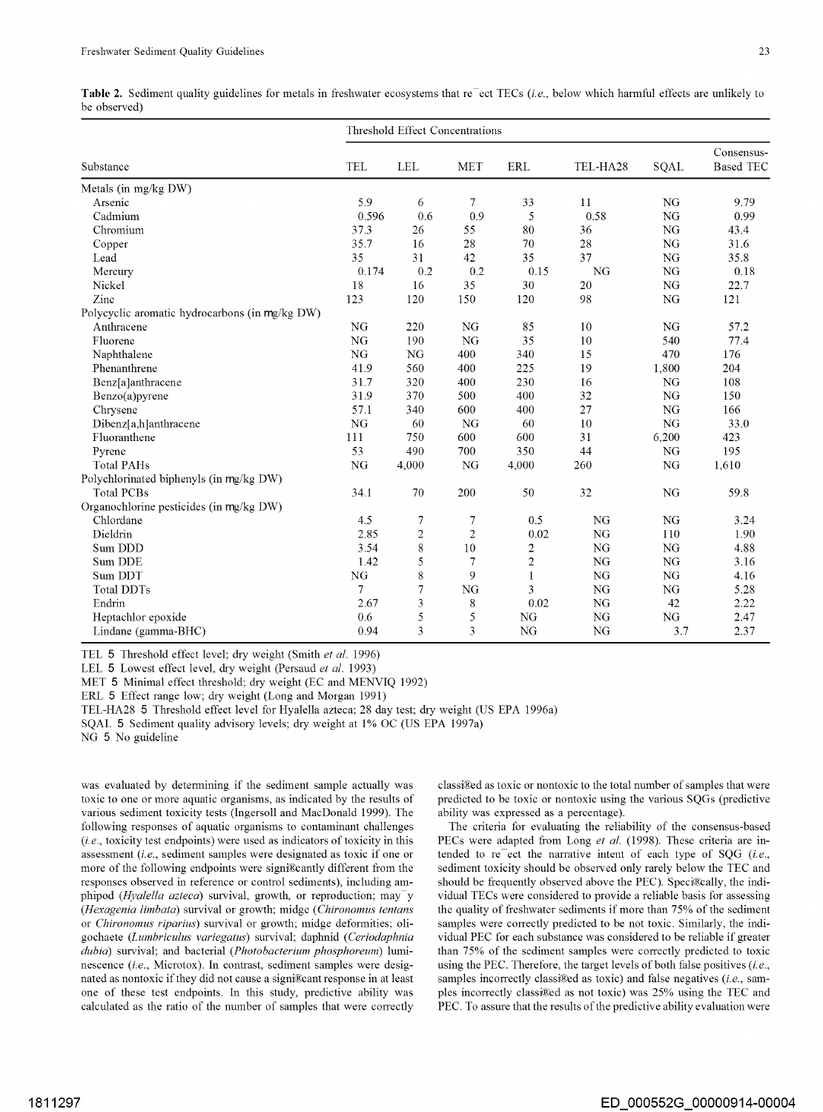| Table 2. Sediment quality guidelines for metals in freshwater ecosystems that reefect TECs (i.e., below which harmful effects are unlikely to |  |  |  |  |  |  |  |
|-----------------------------------------------------------------------------------------------------------------------------------------------|--|--|--|--|--|--|--|
| be observed)                                                                                                                                  |  |  |  |  |  |  |  |

| Threshold Effect Concentrations                |       |                |                |                         |           |           |                                |
|------------------------------------------------|-------|----------------|----------------|-------------------------|-----------|-----------|--------------------------------|
| Substance                                      | TEL   | <b>LEL</b>     | <b>MET</b>     | ERL                     | TEL-HA28  | SQAL      | Consensus-<br><b>Based TEC</b> |
| Metals (in mg/kg DW)                           |       |                |                |                         |           |           |                                |
| Arsenic                                        | 5.9   | 6              | 7              | 33                      | 11        | <b>NG</b> | 9.79                           |
| Cadmium                                        | 0.596 | 0.6            | 0.9            | 5                       | 0.58      | NG        | 0.99                           |
| Chromium                                       | 37.3  | 26             | 55             | 80                      | 36        | NG        | 43.4                           |
| Copper                                         | 35.7  | 16             | 28             | 70                      | 28        | <b>NG</b> | 31.6                           |
| Lead                                           | 35    | 31             | 42             | 35                      | 37        | NG        | 35.8                           |
| Mercury                                        | 0.174 | 0.2            | 0.2            | 0.15                    | NG        | <b>NG</b> | 0.18                           |
| Nickel                                         | 18    | 16             | 35             | 30                      | 20        | NG        | 22.7                           |
| Zinc                                           | 123   | 120            | 150            | 120                     | 98        | NG        | 121                            |
| Polycyclic aromatic hydrocarbons (in mg/kg DW) |       |                |                |                         |           |           |                                |
| Anthracene                                     | NG    | 220            | NG             | 85                      | 10        | NG        | 57.2                           |
| Fluorene                                       | NG    | 190            | NG             | 35                      | 10        | 540       | 77.4                           |
| Naphthalene                                    | NG    | <b>NG</b>      | 400            | 340                     | 15        | 470       | 176                            |
| Phenanthrene                                   | 41.9  | 560            | 400            | 225                     | 19        | 1,800     | 204                            |
| Benz[a]anthracene                              | 31.7  | 320            | 400            | 230                     | 16        | <b>NG</b> | 108                            |
| Benzo(a)pyrene                                 | 31.9  | 370            | 500            | 400                     | 32        | NG        | 150                            |
| Chrysene                                       | 57.1  | 340            | 600            | 400                     | 27        | NG        | 166                            |
| Dibenz[a,h]anthracene                          | NG    | 60             | NG             | 60                      | 10        | NG        | 33.0                           |
| Fluoranthene                                   | 111   | 750            | 600            | 600                     | 31        | 6,200     | 423                            |
| Pyrene                                         | 53    | 490            | 700            | 350                     | 44        | NG        | 195                            |
| <b>Total PAHs</b>                              | NG    | 4,000          | NG             | 4,000                   | 260       | NG        | 1.610                          |
| Polychlorinated biphenyls (in mg/kg DW)        |       |                |                |                         |           |           |                                |
| <b>Total PCBs</b>                              | 34.1  | 70             | 200            | 50                      | 32        | NG        | 59.8                           |
| Organochlorine pesticides (in mg/kg DW)        |       |                |                |                         |           |           |                                |
| Chlordane                                      | 4.5   | 7              | $\overline{7}$ | 0.5                     | NG        | <b>NG</b> | 3.24                           |
| Dieldrin                                       | 2.85  | $\overline{c}$ | $\overline{c}$ | 0.02                    | NG        | 110       | 1.90                           |
| Sum DDD                                        | 3.54  | 8              | 10             | $\overline{\mathbf{c}}$ | NG        | <b>NG</b> | 4.88                           |
| Sum DDE                                        | 1.42  | 5              | $\overline{7}$ | $\overline{c}$          | NG        | <b>NG</b> | 3.16                           |
| Sum DDT                                        | NG    | 8              | 9              | 1                       | NG        | <b>NG</b> | 4.16                           |
| Total DDTs                                     | 7     | 7              | NG             | 3                       | NG        | NG        | 5.28                           |
| Endrin                                         | 2.67  | 3              | 8              | 0.02                    | <b>NG</b> | 42        | 2.22                           |
| Heptachlor epoxide                             | 0.6   | 5              | 5              | NG                      | NG        | NG        | 2.47                           |
| Lindane (gamma-BHC)                            | 0.94  | 3              | 3              | NG                      | NG        | 3.7       | 2.37                           |

TEL 5 Threshold effect level; dry weight (Smith *et al.* 1996)

LEL 5 Lowest effect level, dry weight (Persaud *et al.* 1993)

MET 5 Minimal effect threshold; dry weight (EC and MENVIQ 1992)

ERL 5 Effect range low; dry weight (Long and Morgan 1991)

TEL-HA28 5 Threshold effect level for Hyalella azteca; 28 day test; dry weight (US EPA 1996a)

SQAL 5 Sediment quality advisory levels; dry weight at 1% OC (US EPA 1997a)

NG 5 No guideline

was evaluated by detennining if the sediment sample actually was toxic to one or more aquatic organisms, as indicated by the results of various sediment toxicity tests (Ingersoll and MacDonald 1999). The following responses of aquatic organisms to contaminant challenges  $(i.e.,$  toxicity test endpoints) were used as indicators of toxicity in this assessment (i.e., sediment samples were designated as toxic if one or more of the following endpoints were signi®cantly different from the responses observed in reference or control sediments), including amphipod *(Hyalella azteca)* survival, growth, or reproduction; may y *(Hexagenia limbata)* survival or growth; midge *(Chironomus tentans*  or *Chironomus riparius)* survival or growth; midge deformities; oligochaete *(Lumbriculus variegatus)* survival; daphnid *(Ceriodaphnia dubia)* survival; and bacterial *(Photobacterium phosphoreum)* luminescence (i.e., Microtox). In contrast, sediment samples were designated as nontoxic if they did not cause a signi®cant response in at least one of these test endpoints. In this study, predictive ability was calculated as the ratio of the number of samples that were correctly classi®ed as toxic or nontoxic to the total number of samples that were predicted to be toxic or nontoxic using the various SQGs (predictive ability was expressed as a percentage).

The criteria for evaluating the reliability of the consensus-based PECs were adapted from Long et al. (1998). These criteria are intended to re $\overline{e}$  ect the narrative intent of each type of SQG (i.e., sediment toxicity should be observed only rarely below the TEC and should be frequently observed above the PEC). Speci®cally, the individual TECs were considered to provide a reliable basis for assessing the quality of freshwater sediments if more than 75% of the sediment samples were correctly predicted to be not toxic. Similarly, the individual PEC for each substance was considered to be reliable if greater than 75% of the sediment samples were correctly predicted to toxic using the PEC. Therefore, the target levels of both false positives  $(i.e.,$ samples incorrectly classi $\mathbb{R}$ ed as toxic) and false negatives (i.e., samples incorrectly classi®ed as not toxic) was 25% using the TEC and PEC. To assure that the results of the predictive ability evaluation were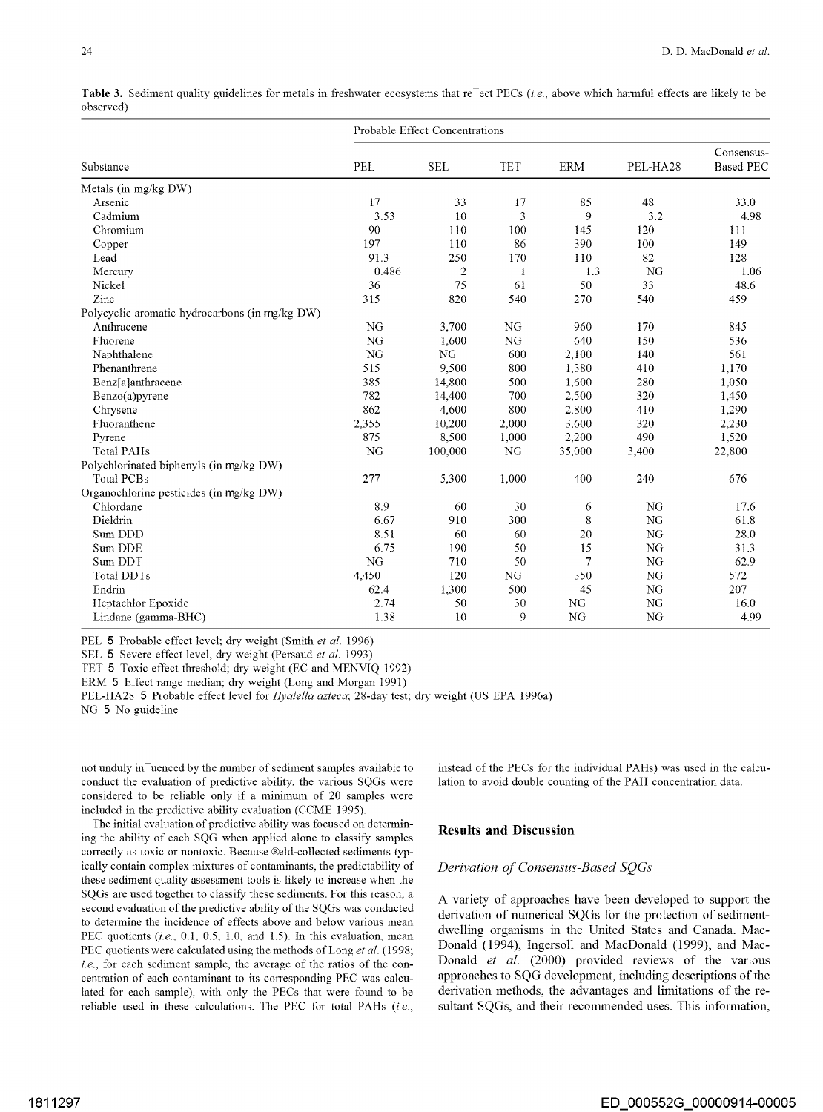|                                                | Probable Effect Concentrations |                |            |            |           |                                |  |  |
|------------------------------------------------|--------------------------------|----------------|------------|------------|-----------|--------------------------------|--|--|
| Substance                                      | PEL                            | <b>SEL</b>     | <b>TET</b> | <b>ERM</b> | PEL-HA28  | Consensus-<br><b>Based PEC</b> |  |  |
| Metals (in mg/kg DW)                           |                                |                |            |            |           |                                |  |  |
| Arsenic                                        | 17                             | 33             | 17         | 85         | 48        | 33.0                           |  |  |
| Cadmium                                        | 3.53                           | 10             | 3          | 9          | 3.2       | 4.98                           |  |  |
| Chromium                                       | 90                             | 110            | 100        | 145        | 120       | 111                            |  |  |
| Copper                                         | 197                            | 110            | 86         | 390        | 100       | 149                            |  |  |
| Lead                                           | 91.3                           | 250            | 170        | 110        | 82        | 128                            |  |  |
| Mercury                                        | 0.486                          | $\overline{2}$ | 1          | 1.3        | NG        | 1.06                           |  |  |
| Nickel                                         | 36                             | 75             | 61         | 50         | 33        | 48.6                           |  |  |
| Zinc                                           | 315                            | 820            | 540        | 270        | 540       | 459                            |  |  |
| Polycyclic aromatic hydrocarbons (in mg/kg DW) |                                |                |            |            |           |                                |  |  |
| Anthracene                                     | NG                             | 3,700          | NG         | 960        | 170       | 845                            |  |  |
| Fluorene                                       | NG                             | 1.600          | NG         | 640        | 150       | 536                            |  |  |
| Naphthalene                                    | NG                             | NG             | 600        | 2,100      | 140       | 561                            |  |  |
| Phenanthrene                                   | 515                            | 9,500          | 800        | 1,380      | 410       | 1,170                          |  |  |
| Benz[a]anthracene                              | 385                            | 14,800         | 500        | 1.600      | 280       | 1,050                          |  |  |
| Benzo(a)pyrene                                 | 782                            | 14,400         | 700        | 2,500      | 320       | 1,450                          |  |  |
| Chrysene                                       | 862                            | 4.600          | 800        | 2,800      | 410       | 1,290                          |  |  |
| Fluoranthene                                   | 2,355                          | 10,200         | 2,000      | 3.600      | 320       | 2,230                          |  |  |
| Pyrene                                         | 875                            | 8,500          | 1,000      | 2,200      | 490       | 1,520                          |  |  |
| <b>Total PAHs</b>                              | NG                             | 100,000        | NG         | 35,000     | 3,400     | 22,800                         |  |  |
| Polychlorinated biphenyls (in mg/kg DW)        |                                |                |            |            |           |                                |  |  |
| <b>Total PCBs</b>                              | 277                            | 5,300          | 1,000      | 400        | 240       | 676                            |  |  |
| Organochlorine pesticides (in mg/kg DW)        |                                |                |            |            |           |                                |  |  |
| Chlordane                                      | 8.9                            | 60             | 30         | 6          | NG        | 17.6                           |  |  |
| Dieldrin                                       | 6.67                           | 910            | 300        | 8          | <b>NG</b> | 61.8                           |  |  |
| Sum DDD                                        | 8.51                           | 60             | 60         | 20         | <b>NG</b> | 28.0                           |  |  |
| Sum DDE                                        | 6.75                           | 190            | 50         | 15         | NG        | 31.3                           |  |  |
| Sum DDT                                        | NG                             | 710            | 50         | 7          | NG        | 62.9                           |  |  |
| <b>Total DDTs</b>                              | 4,450                          | 120            | <b>NG</b>  | 350        | <b>NG</b> | 572                            |  |  |
| Endrin                                         | 62.4                           | 1,300          | 500        | 45         | NG        | 207                            |  |  |
| Heptachlor Epoxide                             | 2.74                           | 50             | 30         | NG         | <b>NG</b> | 16.0                           |  |  |
| Lindane (gamma-BHC)                            | 1.38                           | 10             | 9          | NG         | NG        | 4.99                           |  |  |

Table 3. Sediment quality guidelines for metals in freshwater ecosystems that re<sup>-</sup>ect PECs (i.e., above which harmful effects are likely to be observed)

PEL 5 Probable effect level; dry weight (Smith *et al.* 1996)

SEL 5 Severe effect level, dry weight (Persaud *et al.* 1993)

TET 5 Toxic effect threshold; dry weight (EC and MENVIQ 1992)

ERM 5 Effect range median; dry weight (Long and Morgan 1991)

PEL-HA28 5 Probable effect level for *Hyalella azteca;* 28-day test; dry weight (US EPA 1996a) NG 5 No guideline

not unduly in uenced by the number of sediment samples available to conduct the evaluation of predictive ability, the various SQGs were considered to be reliable only if a minimum of 20 samples were included in the predictive ability evaluation (CCME 1995).

The initial evaluation of predictive ability was focused on determining the ability of each SQG when applied alone to classify samples correctly as toxic or nontoxic. Because ®eld-collected sediments typically contain complex mixtures of contaminants, the predictability of these sediment quality assessment tools is likely to increase when the SQGs are used together to classify these sediments. For this reason, a second evaluation of the predictive ability of the SQGs was conducted to determine the incidence of effects above and below various mean PEC quotients (i.e., 0.1, 0.5, 1.0, and 1.5). In this evaluation, mean PEC quotients were calculated using the methods of Long *et al.* (1998; *i.e.*, for each sediment sample, the average of the ratios of the concentration of each contaminant to its corresponding PEC was calculated for each sample), with only the PECs that were found to be reliable used in these calculations. The PEC for total PAHs (i.e.,

instead of the PECs for the individual PAHs) was used in the calculation to avoid double counting of the PAH concentration data.

## **Results and Discussion**

### *Derivation of Consensus-Based SQGs*

A variety of approaches have been developed to support the derivation of numerical SQGs for the protection of sedimentdwelling organisms in the United States and Canada. Mac-Donald (1994), Ingersoll and MacDonald (1999), and Mac-Donald *et al.* (2000) provided reviews of the various approaches to SQG development, including descriptions of the derivation methods, the advantages and limitations of the resultant SQGs, and their recommended uses. This information,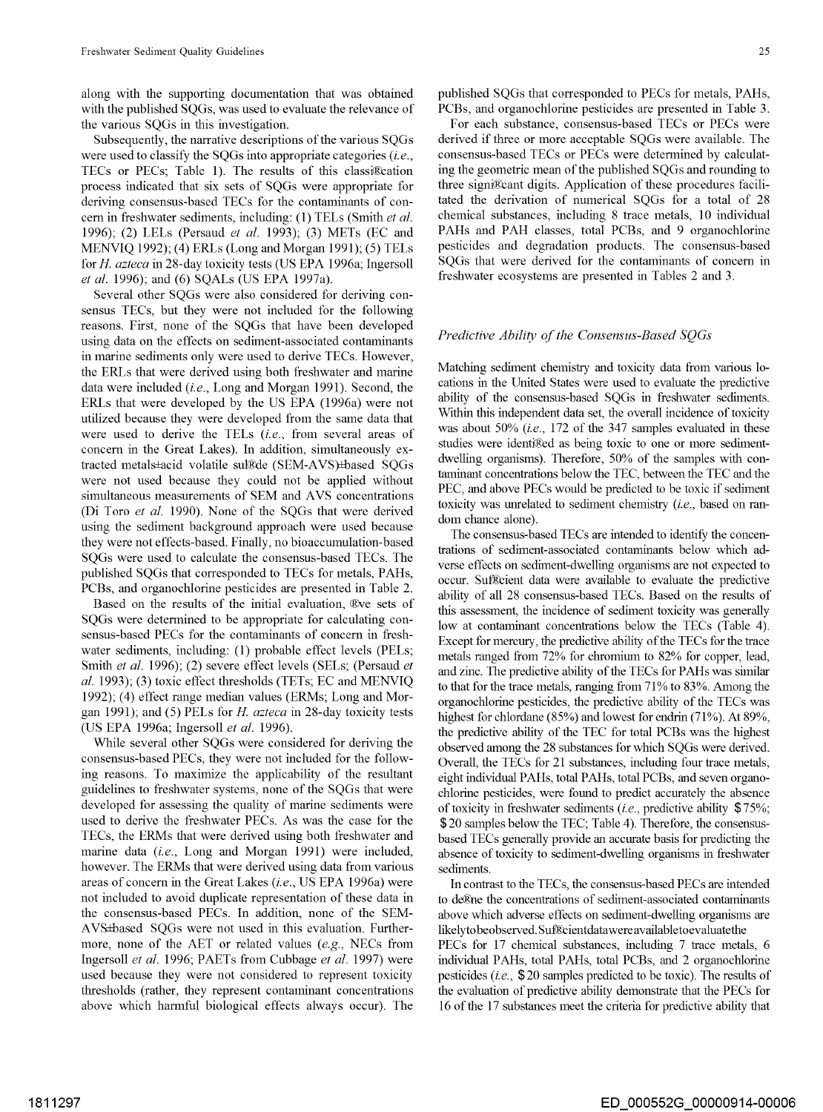along with the supporting documentation that was obtained with the published SQGs, was used to evaluate the relevance of the various SQGs in this investigation.

Subsequently, the narrative descriptions of the various SQGs were used to classify the SQGs into appropriate categories *(i.e.,*  TECs or PECs; Table 1). The results of this classi®cation process indicated that six sets of SQGs were appropriate for deriving consensus-based TECs for the contaminants of concern in freshwater sediments, including: (1) TELs (Smith *et al.*  1996); (2) LELs (Persaud *et al.* 1993); (3) METs (EC and MENVIQ 1992); (4) ERLs (Long and Morgan 1991); (5) TELs for *H. azteca* in 28-day toxicity tests (US EPA 1996a; Ingersoll *et al.* 1996); and (6) SQALs (US EPA 1997a).

Several other SQGs were also considered for deriving consensus TECs, but they were not included for the following reasons. First, none of the SQGs that have been developed using data on the effects on sediment-associated contaminants in marine sediments only were used to derive TECs. However, the ERLs that were derived using both freshwater and marine data were included *(i.e.,* Long and Morgan 1991). Second, the ERLs that were developed by the US EPA (1996a) were not utilized because they were developed from the same data that were used to derive the TELs *(i.e.,* from several areas of concern in the Great Lakes). In addition, simultaneously extracted metals±acid volatile sul®de (SEM-AVS)±based SQGs were not used because they could not be applied without simultaneous measurements of SEM and AVS concentrations (Di Toro *et al.* 1990). None of the SQGs that were derived using the sediment background approach were used because they were not effects-based. Finally, no bioaccumulation-based SQGs were used to calculate the consensus-based TECs. The published SQGs that corresponded to TECs for metals, PAHs, PCBs, and organochlorine pesticides are presented in Table 2.

Based on the results of the initial evaluation, ®ve sets of SQGs were determined to be appropriate for calculating consensus-based PECs for the contaminants of concern in freshwater sediments, including: (1) probable effect levels (PELs; Smith *et al.* 1996); (2) severe effect levels (SELs; (Persaud *et al.* 1993); (3) toxic effect thresholds (TETs; EC and MENVIQ 1992); (4) effect range median values (ERMs; Long and Morgan 1991); and (5) PELs for *H. azteca* in 28-day toxicity tests (US EPA 1996a; Ingersoll *et al.* 1996).

While several other SQGs were considered for deriving the consensus-based PECs, they were not included for the following reasons. To maximize the applicability of the resultant guidelines to freshwater systems, none of the SQGs that were developed for assessing the quality of marine sediments were used to derive the freshwater PECs. As was the case for the TECs, the ERMs that were derived using both freshwater and marine data *(i.e.,* Long and Morgan 1991) were included, however. The ERMs that were derived using data from various areas of concern in the Great Lakes *(i.e.,* US EPA 1996a) were not included to avoid duplicate representation of these data in the consensus-based PECs. In addition, none of the SEM-AVS±based SQGs were not used in this evaluation. Furthermore, none of the AET or related values (e.g., NECs from Ingersoll *et al.* 1996; PAETs from Cubbage *et al.* 1997) were used because they were not considered to represent toxicity thresholds (rather, they represent contaminant concentrations above which harmful biological effects always occur). The

published SQGs that corresponded to PECs for metals, PAHs, PCBs, and organochlorine pesticides are presented in Table 3.

For each substance, consensus-based TECs or PECs were derived if three or more acceptable SQGs were available. The consensus-based TECs or PECs were determined by calculating the geometric mean of the published SQGs and rounding to three signi®cant digits. Application of these procedures facilitated the derivation of numerical SQGs for a total of 28 chemical substances, including 8 trace metals, 10 individual PAHs and PAH classes, total PCBs, and 9 organochlorine pesticides and degradation products. The consensus-based SQGs that were derived for the contaminants of concern in freshwater ecosystems are presented in Tables 2 and 3.

## *Predictive Ability of the Consensus-Based SQGs*

Matching sediment chemistry and toxicity data from various locations in the United States were used to evaluate the predictive ability of the consensus-based SQGs in freshwater sediments. Within this independent data set, the overall incidence of toxicity was about 50% *(i.e.,* 172 of the 347 samples evaluated in these studies were identi@ed as being toxic to one or more sedimentdwelling organisms). Therefore, 50% of the samples with contaminant concentrations below the TEC, between the TEC and the PEC, and above PECs would be predicted to be toxic if sediment toxicity was unrelated to sediment chemistry *(i.e.,* based on random chance alone).

The consensus-based TECs are intended to identify the concentrations of sediment-associated contaminants below which adverse effects on sediment-dwelling organisms are not expected to occur. Suf&:ient data were available to evaluate the predictive ability of all 28 consensus-based TECs. Based on the results of this assessment, the incidence of sediment toxicity was generally low at contaminant concentrations below the TECs (Table 4). Except for mercury, the predictive ability of the TECs for the trace metals ranged from 72% for chromium to 82% for copper, lead, and zinc. The predictive ability of the TECs for PAHs was similar to that for the trace metals, ranging from 71% to 83%. Among the organochlorine pesticides, the predictive ability of the TECs was highest for chlordane (85%) and lowest for endrin (71%). At 89%, the predictive ability of the TEC for total PCBs was the highest observed among the 28 substances for which SQGs were derived. Overall, the TECs for 21 substances, including four trace metals, eight individual PAHs, total PAHs, total PCBs, and seven organochlorine pesticides, were found to predict accurately the absence of toxicity in freshwater sediments *(i.e.,* predictive ability \$75%; \$20 samples below the TEC; Table 4). Therefore, the consensusbased TECs generally provide an accurate basis for predicting the absence of toxicity to sediment-dwelling organisms in freshwater sediments.

In contrast to the TECs, the consensus-based PECs are intended to deEne the concentrations of sediment-associated contaminants above which adverse effects on sediment-dwelling organisms are likelyto beobserved. Suf&:ientdatawereavailabletoevaluatethe PECs for 17 chemical substances, including 7 trace metals, 6 individual PAHs, total PAHs, total PCBs, and 2 organochlorine pesticides *(i.e.,* \$ 20 samples predicted to be toxic). The results of the evaluation of predictive ability demonstrate that the PECs for 16 of the 17 substances meet the criteria for predictive ability that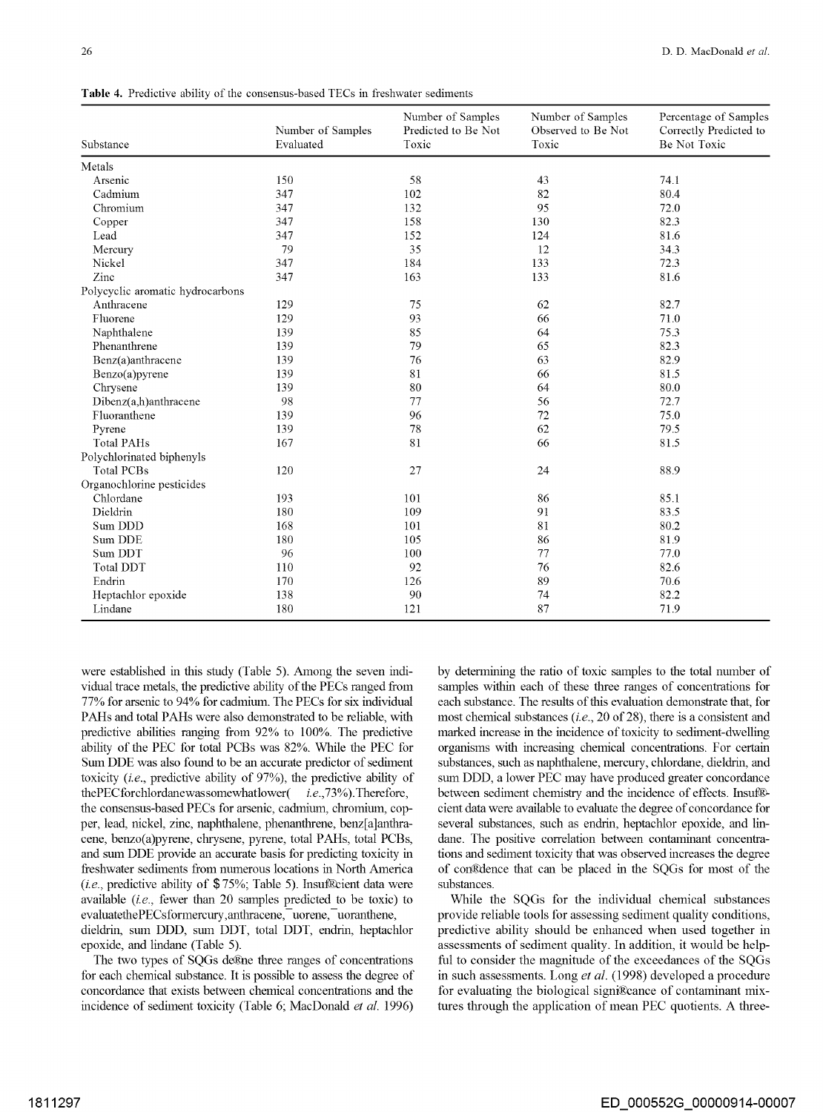**Table 4.** Predictive ability of the consensus-based TECs in freshwater sediments

|                                  | Number of Samples | Number of Samples<br>Predicted to Be Not<br>Toxic | Number of Samples<br>Observed to Be Not | Percentage of Samples<br>Correctly Predicted to |
|----------------------------------|-------------------|---------------------------------------------------|-----------------------------------------|-------------------------------------------------|
| Substance                        | Evaluated         |                                                   | Toxic                                   | Be Not Toxic                                    |
| Metals                           |                   |                                                   |                                         |                                                 |
| Arsenic                          | 150               | 58                                                | 43                                      | 74.1                                            |
| Cadmium                          | 347               | 102                                               | 82                                      | 80.4                                            |
| Chromium                         | 347               | 132                                               | 95                                      | 72.0                                            |
| Copper                           | 347               | 158                                               | 130                                     | 82.3                                            |
| Lead                             | 347               | 152                                               | 124                                     | 81.6                                            |
| Mercury                          | 79                | 35                                                | 12                                      | 34.3                                            |
| Nickel                           | 347               | 184                                               | 133                                     | 72.3                                            |
| Zinc                             | 347               | 163                                               | 133                                     | 81.6                                            |
| Polycyclic aromatic hydrocarbons |                   |                                                   |                                         |                                                 |
| Anthracene                       | 129               | 75                                                | 62                                      | 82.7                                            |
| Fluorene                         | 129               | 93                                                | 66                                      | 71.0                                            |
| Naphthalene                      | 139               | 85                                                | 64                                      | 75.3                                            |
| Phenanthrene                     | 139               | 79                                                | 65                                      | 82.3                                            |
| Benz(a)anthracene                | 139               | 76                                                | 63                                      | 82.9                                            |
| Benzo(a)pyrene                   | 139               | 81                                                | 66                                      | 81.5                                            |
| Chrysene                         | 139               | 80                                                | 64                                      | 80.0                                            |
| Dibenz(a,h)anthracene            | 98                | 77                                                | 56                                      | 72.7                                            |
| Fluoranthene                     | 139               | 96                                                | 72                                      | 75.0                                            |
| Pyrene                           | 139               | 78                                                | 62                                      | 79.5                                            |
| <b>Total PAHs</b>                | 167               | 81                                                | 66                                      | 81.5                                            |
| Polychlorinated biphenyls        |                   |                                                   |                                         |                                                 |
| <b>Total PCBs</b>                | 120               | 27                                                | 24                                      | 88.9                                            |
| Organochlorine pesticides        |                   |                                                   |                                         |                                                 |
| Chlordane                        | 193               | 101                                               | 86                                      | 85.1                                            |
| Dieldrin                         | 180               | 109                                               | 91                                      | 83.5                                            |
| Sum DDD                          | 168               | 101                                               | 81                                      | 80.2                                            |
| Sum DDE                          | 180               | 105                                               | 86                                      | 81.9                                            |
| Sum DDT                          | 96                | 100                                               | 77                                      | 77.0                                            |
| Total DDT                        | 110               | 92                                                | 76                                      | 82.6                                            |
| Endrin                           | 170               | 126                                               | 89                                      | 70.6                                            |
| Heptachlor epoxide               | 138               | 90                                                | 74                                      | 82.2                                            |
| Lindane                          | 180               | 121                                               | 87                                      | 71.9                                            |

were established in this study (Table 5). Among the seven individual trace metals, the predictive ability of the PECs ranged from 77% for arsenic to 94% for cadmium. The PECs for six individual PAHs and total PAHs were also demonstrated to be reliable, with predictive abilities ranging from 92% to 100%. The predictive ability of the PEC for total PCBs was 82%. While the PEC for Sum DDE was also found to be an accurate predictor of sediment toxicity *(i.e.,* predictive ability of 97%), the predictive ability of thePECforchlordanewassomewhatlower(*i.e.*, 73%). Therefore, the consensus-based PECs for arsenic, cadmium, chromium, copper, lead, nickel, zinc, naphthalene, phenanthrene, benz[a]anthracene, benzo(a)pyrene, chrysene, pyrene, total PAHs, total PCBs, and sum DDE provide an accurate basis for predicting toxicity in freshwater sediments from numerous locations in North America *(i.e., predictive ability of \$75%; Table 5). Insuf Reient data were* available (i.e., fewer than 20 samples predicted to be toxic) to evaluatethePECsformercury,anthracene, uorene, uoranthene, dieldrin, sum DDD, sum DDT, total DDT, endrin, heptachlor epoxide, and lindane (Table 5).

The two types of SOGs de. The three ranges of concentrations for each chemical substance. It is possible to assess the degree of concordance that exists between chemical concentrations and the incidence of sediment toxicity (Table 6; MacDonald *et al.* 1996) by determining the ratio of toxic samples to the total number of samples within each of these three ranges of concentrations for each substance. The results of this evaluation demonstrate that, for most chemical substances *(i.e.,* 20 of 28), there is a consistent and marked increase in the incidence of toxicity to sediment-dwelling organisms with increasing chemical concentrations. For certain substances, such as naphthalene, mercury, chlordane, dieldrin, and sum DDD, a lower PEC may have produced greater concordance between sediment chemistry and the incidence of effects. Insuf®cient data were available to evaluate the degree of concordance for several substances, such as endrin, heptachlor epoxide, and lindane. The positive correlation between contaminant concentrations and sediment toxicity that was observed increases the degree of conEtlence that can be placed in the SQGs for most of the substances.

While the SQGs for the individual chemical substances provide reliable tools for assessing sediment quality conditions, predictive ability should be enhanced when used together in assessments of sediment quality. In addition, it would be helpful to consider the magnitude of the exceedances of the SOGs in such assessments. Long *et al.* (1998) developed a procedure for evaluating the biological signi®cance of contaminant mixtures through the application of mean PEC quotients. A three-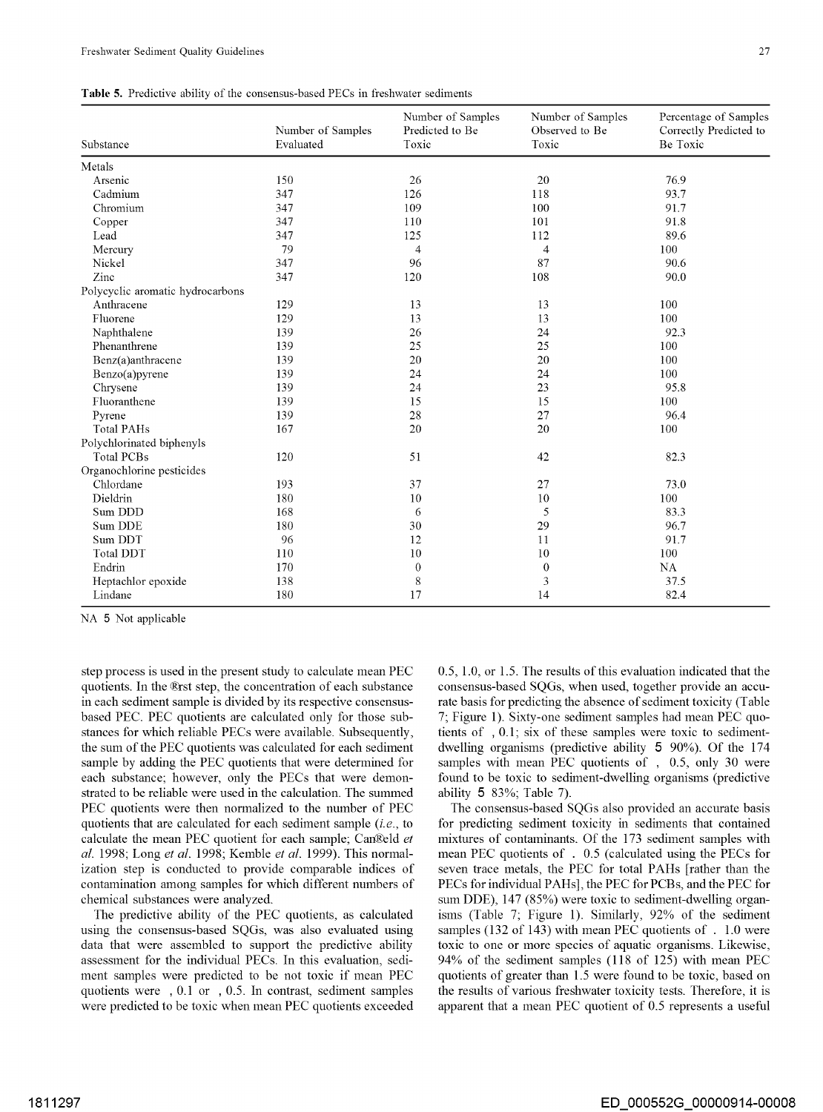|  |  |  | <b>Table 5.</b> Predictive ability of the consensus-based PECs in freshwater sediments |  |  |  |
|--|--|--|----------------------------------------------------------------------------------------|--|--|--|
|--|--|--|----------------------------------------------------------------------------------------|--|--|--|

| Substance                        | Number of Samples<br>Evaluated | Number of Samples<br>Predicted to Be<br>Toxic | Number of Samples<br>Observed to Be<br>Toxic | Percentage of Samples<br>Correctly Predicted to<br>Be Toxic |
|----------------------------------|--------------------------------|-----------------------------------------------|----------------------------------------------|-------------------------------------------------------------|
| Metals                           |                                |                                               |                                              |                                                             |
| Arsenic                          | 150                            | 26                                            | 20                                           | 76.9                                                        |
| Cadmium                          | 347                            | 126                                           | 118                                          | 93.7                                                        |
| Chromium                         | 347                            | 109                                           | 100                                          | 91.7                                                        |
| Copper                           | 347                            | 110                                           | 101                                          | 91.8                                                        |
| Lead                             | 347                            | 125                                           | 112                                          | 89.6                                                        |
| Mercury                          | 79                             | $\overline{4}$                                | 4                                            | 100                                                         |
| Nickel                           | 347                            | 96                                            | 87                                           | 90.6                                                        |
| Zinc                             | 347                            | 120                                           | 108                                          | 90.0                                                        |
| Polycyclic aromatic hydrocarbons |                                |                                               |                                              |                                                             |
| Anthracene                       | 129                            | 13                                            | 13                                           | 100                                                         |
| Fluorene                         | 129                            | 13                                            | 13                                           | 100                                                         |
| Naphthalene                      | 139                            | 26                                            | 24                                           | 92.3                                                        |
| Phenanthrene                     | 139                            | 25                                            | 25                                           | 100                                                         |
| Benz(a)anthracene                | 139                            | 20                                            | 20                                           | 100                                                         |
| Benzo(a)pyrene                   | 139                            | 24                                            | 24                                           | 100                                                         |
| Chrysene                         | 139                            | 24                                            | 23                                           | 95.8                                                        |
| Fluoranthene                     | 139                            | 15                                            | 15                                           | 100                                                         |
| Pyrene                           | 139                            | 28                                            | 27                                           | 96.4                                                        |
| <b>Total PAHs</b>                | 167                            | 20                                            | 20                                           | 100                                                         |
| Polychlorinated biphenyls        |                                |                                               |                                              |                                                             |
| <b>Total PCBs</b>                | 120                            | 51                                            | 42                                           | 82.3                                                        |
| Organochlorine pesticides        |                                |                                               |                                              |                                                             |
| Chlordane                        | 193                            | 37                                            | 27                                           | 73.0                                                        |
| Dieldrin                         | 180                            | 10                                            | 10                                           | 100                                                         |
| Sum DDD                          | 168                            | 6                                             | 5                                            | 83.3                                                        |
| Sum DDE                          | 180                            | 30                                            | 29                                           | 96.7                                                        |
| Sum DDT                          | 96                             | 12                                            | 11                                           | 91.7                                                        |
| <b>Total DDT</b>                 | 110                            | 10                                            | 10                                           | 100                                                         |
| Endrin                           | 170                            | $\theta$                                      | $\boldsymbol{0}$                             | <b>NA</b>                                                   |
| Heptachlor epoxide               | 138                            | 8                                             | 3                                            | 37.5                                                        |
| Lindane                          | 180                            | 17                                            | 14                                           | 82.4                                                        |

NA 5 Not applicable

step process is used in the present study to calculate mean PEC quotients. In the ®rst step, the concentration of each substance in each sediment sample is divided by its respective consensusbased PEC. PEC quotients are calculated only for those substances for which reliable PECs were available. Subsequently, the sum of the PEC quotients was calculated for each sediment sample by adding the PEC quotients that were determined for each substance; however, only the PECs that were demonstrated to be reliable were used in the calculation. The summed PEC quotients were then normalized to the number of PEC quotients that are calculated for each sediment sample *(i.e.,* to calculate the mean PEC quotient for each sample; Can®eld et *al.* 1998; Long *et al.* 1998; Kemble *et al.* 1999). This normalization step is conducted to provide comparable indices of contamination among samples for which different numbers of chemical substances were analyzed.

The predictive ability of the PEC quotients, as calculated using the consensus-based SQGs, was also evaluated using data that were assembled to support the predictive ability assessment for the individual PECs. In this evaluation, sediment samples were predicted to be not toxic if mean PEC quotients were , 0.1 or , 0.5. In contrast, sediment samples were predicted to be toxic when mean PEC quotients exceeded 0.5, 1.0, or 1.5. The results of this evaluation indicated that the consensus-based SQGs, when used, together provide an accurate basis for predicting the absence of sediment toxicity (Table 7; Figure 1). Sixty-one sediment samples had mean PEC quotients of , 0.1; six of these samples were toxic to sedimentdwelling organisms (predictive ability **5** 90%). Of the 174 samples with mean PEC quotients of , 0.5, only 30 were found to be toxic to sediment-dwelling organisms (predictive ability **5** 83%; Table 7).

The consensus-based SQGs also provided an accurate basis for predicting sediment toxicity in sediments that contained mixtures of contaminants. Of the 173 sediment samples with mean PEC quotients of . 0.5 (calculated using the PECs for seven trace metals, the PEC for total PAHs [rather than the PECs for individual PAHs], the PEC for PCBs, and the PEC for sum DDE), 147 (85%) were toxic to sediment-dwelling organisms (Table 7; Figure 1). Similarly, 92% of the sediment samples (132 of 143) with mean PEC quotients of . 1.0 were toxic to one or more species of aquatic organisms. Likewise, 94% of the sediment samples (118 of 125) with mean PEC quotients of greater than 1.5 were found to be toxic, based on the results of various freshwater toxicity tests. Therefore, it is apparent that a mean PEC quotient of 0.5 represents a useful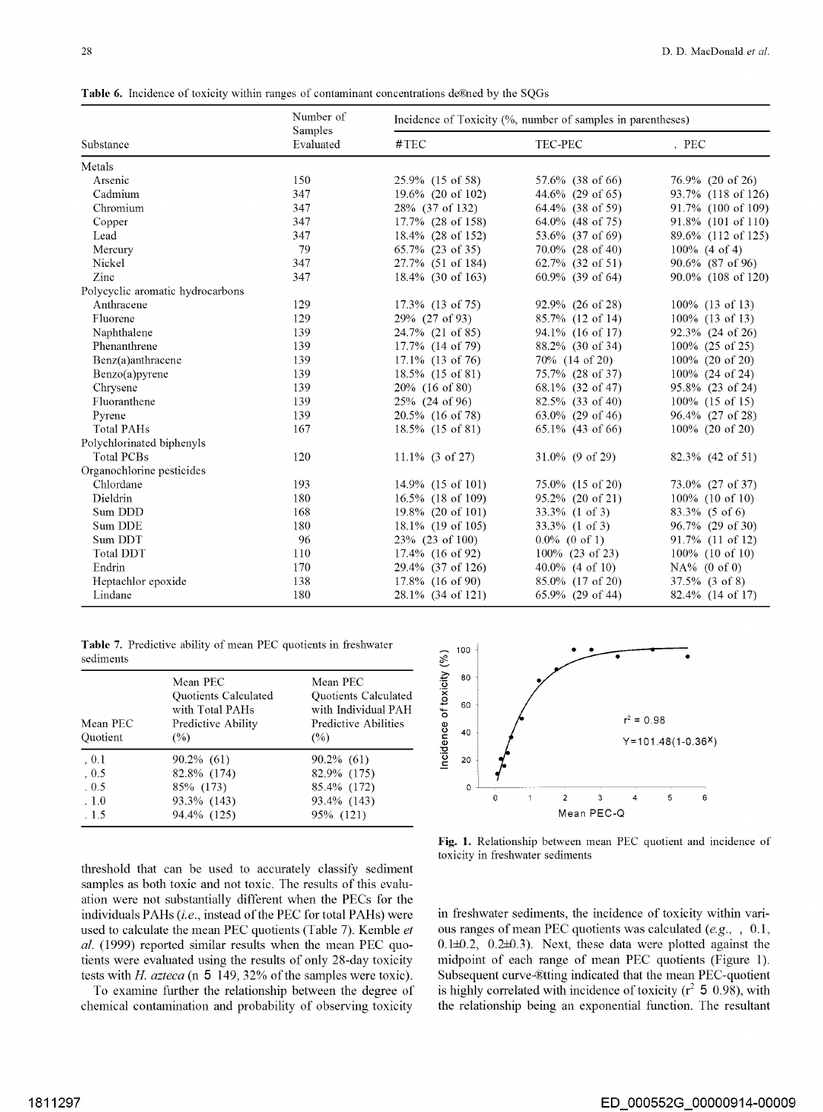Table 6. Incidence of toxicity within ranges of contaminant concentrations de®ned by the SQGs

|                                  | Number of            | Incidence of Toxicity (%, number of samples in parentheses) |                                |                    |  |  |  |
|----------------------------------|----------------------|-------------------------------------------------------------|--------------------------------|--------------------|--|--|--|
| Substance                        | Samples<br>Evaluated | #TEC                                                        | TEC-PEC                        | . PEC              |  |  |  |
| Metals                           |                      |                                                             |                                |                    |  |  |  |
| Arsenic                          | 150                  | 25.9% (15 of 58)                                            | 57.6% (38 of 66)               | 76.9% (20 of 26)   |  |  |  |
| Cadmium                          | 347                  | 19.6% (20 of 102)                                           | 44.6% (29 of 65)               | 93.7% (118 of 126) |  |  |  |
| Chromium                         | 347                  | 28% (37 of 132)                                             | 64.4% (38 of 59)               | 91.7% (100 of 109) |  |  |  |
| Copper                           | 347                  | 17.7% (28 of 158)                                           | 64.0% (48 of 75)               | 91.8% (101 of 110) |  |  |  |
| Lead                             | 347                  | 18.4% (28 of 152)                                           | 53.6% (37 of 69)               | 89.6% (112 of 125) |  |  |  |
| Mercury                          | 79                   | $65.7\%$ (23 of 35)                                         | 70.0% (28 of 40)               | $100\%$ (4 of 4)   |  |  |  |
| Nickel                           | 347                  | 27.7% (51 of 184)                                           | $62.7\%$ $(32 \text{ of } 51)$ | 90.6% (87 of 96)   |  |  |  |
| Zinc                             | 347                  | 18.4% (30 of 163)                                           | 60.9% (39 of 64)               | 90.0% (108 of 120) |  |  |  |
| Polycyclic aromatic hydrocarbons |                      |                                                             |                                |                    |  |  |  |
| Anthracene                       | 129                  | 17.3% (13 of 75)                                            | 92.9% (26 of 28)               | 100% (13 of 13)    |  |  |  |
| Fluorene                         | 129                  | 29% (27 of 93)                                              | 85.7% (12 of 14)               | 100% (13 of 13)    |  |  |  |
| Naphthalene                      | 139                  | 24.7% (21 of 85)                                            | 94.1% (16 of 17)               | 92.3% (24 of 26)   |  |  |  |
| Phenanthrene                     | 139                  | 17.7% (14 of 79)                                            | 88.2% (30 of 34)               | 100% (25 of 25)    |  |  |  |
| Benz(a)anthracene                | 139                  | 17.1% (13 of 76)                                            | 70\% (14 of 20)                | 100% (20 of 20)    |  |  |  |
| Benzo(a)pyrene                   | 139                  | 18.5% (15 of 81)                                            | 75.7% (28 of 37)               | 100% (24 of 24)    |  |  |  |
| Chrysene                         | 139                  | 20% (16 of 80)                                              | 68.1% (32 of 47)               | 95.8% (23 of 24)   |  |  |  |
| Fluoranthene                     | 139                  | 25% (24 of 96)                                              | 82.5% (33 of 40)               | 100% (15 of 15)    |  |  |  |
| Pyrene                           | 139                  | 20.5% (16 of 78)                                            | 63.0% (29 of 46)               | 96.4% (27 of 28)   |  |  |  |
| <b>Total PAHs</b>                | 167                  | 18.5% (15 of 81)                                            | 65.1% (43 of 66)               | $100\%$ (20 of 20) |  |  |  |
| Polychlorinated biphenyls        |                      |                                                             |                                |                    |  |  |  |
| <b>Total PCBs</b>                | 120                  | $11.1\%$ (3 of 27)                                          | $31.0\%$ (9 of 29)             | 82.3% (42 of 51)   |  |  |  |
| Organochlorine pesticides        |                      |                                                             |                                |                    |  |  |  |
| Chlordane                        | 193                  | 14.9% (15 of 101)                                           | 75.0% (15 of 20)               | 73.0% (27 of 37)   |  |  |  |
| Dieldrin                         | 180                  | 16.5% (18 of 109)                                           | 95.2% (20 of 21)               | 100% (10 of 10)    |  |  |  |
| Sum DDD                          | 168                  | 19.8% (20 of 101)                                           | 33.3% (1 of 3)                 | $83.3\%$ (5 of 6)  |  |  |  |
| Sum DDE                          | 180                  | 18.1% (19 of 105)                                           | $33.3\%$ (1 of 3)              | 96.7% (29 of 30)   |  |  |  |
| Sum DDT                          | 96                   | 23% (23 of 100)                                             | $0.0\%$ (0 of 1)               | 91.7% (11 of 12)   |  |  |  |
| <b>Total DDT</b>                 | 110                  | 17.4% (16 of 92)                                            | 100% (23 of 23)                | $100\%$ (10 of 10) |  |  |  |
| Endrin                           | 170                  | 29.4% (37 of 126)                                           | $40.0\%$ (4 of 10)             | $NA\%$ (0 of 0)    |  |  |  |
| Heptachlor epoxide               | 138                  | 17.8% (16 of 90)                                            | 85.0% (17 of 20)               | $37.5\%$ (3 of 8)  |  |  |  |
| Lindane                          | 180                  | 28.1% (34 of 121)                                           | 65.9% (29 of 44)               | 82.4% (14 of 17)   |  |  |  |

| Table 7. Predictive ability of mean PEC quotients in freshwater |  |
|-----------------------------------------------------------------|--|
| sediments                                                       |  |

| Mean PEC<br>Quotient | Mean PEC<br>Quotients Calculated<br>with Total PAHs<br>Predictive Ability<br>(%) | Mean PEC<br>Quotients Calculated<br>with Individual PAH<br>Predictive Abilities<br>(%) |
|----------------------|----------------------------------------------------------------------------------|----------------------------------------------------------------------------------------|
| .0.1                 | 90.2% (61)                                                                       | $90.2\%$ (61)                                                                          |
| .0.5                 | 82.8% (174)                                                                      | 82.9% (175)                                                                            |
| .0.5                 | 85% (173)                                                                        | 85.4% (172)                                                                            |
| .1.0                 | 93.3% (143)                                                                      | 93.4% (143)                                                                            |
| . 1.5                | 94.4% (125)                                                                      | 95% (121)                                                                              |



**Fig. 1.** Relationship between mean PEC quotient and incidence of toxicity in freshwater sediments

threshold that can be used to accurately classify sediment samples as both toxic and not toxic. The results of this evaluation were not substantially different when the PECs for the individuals PAHs *(i.e.,* instead of the PEC for total PAHs) were used to calculate the mean PEC quotients (Table 7). Kemble *et al.* (1999) reported similar results when the mean PEC quotients were evaluated using the results of only 28-day toxicity tests with *H. azteca* (n **5** 149, 32% of the samples were toxic).

To examine further the relationship between the degree of chemical contamination and probability of observing toxicity

in freshwater sediments, the incidence of toxicity within various ranges of mean PEC quotients was calculated *(e.g.,* , 0.1, 0.1±0.2, 0.2±0.3). Next, these data were plotted against the midpoint of each range of mean PEC quotients (Figure 1). Subsequent curve-®tting indicated that the mean PEC-quotient is highly correlated with incidence of toxicity  $(r^2 5 0.98)$ , with the relationship being an exponential function. The resultant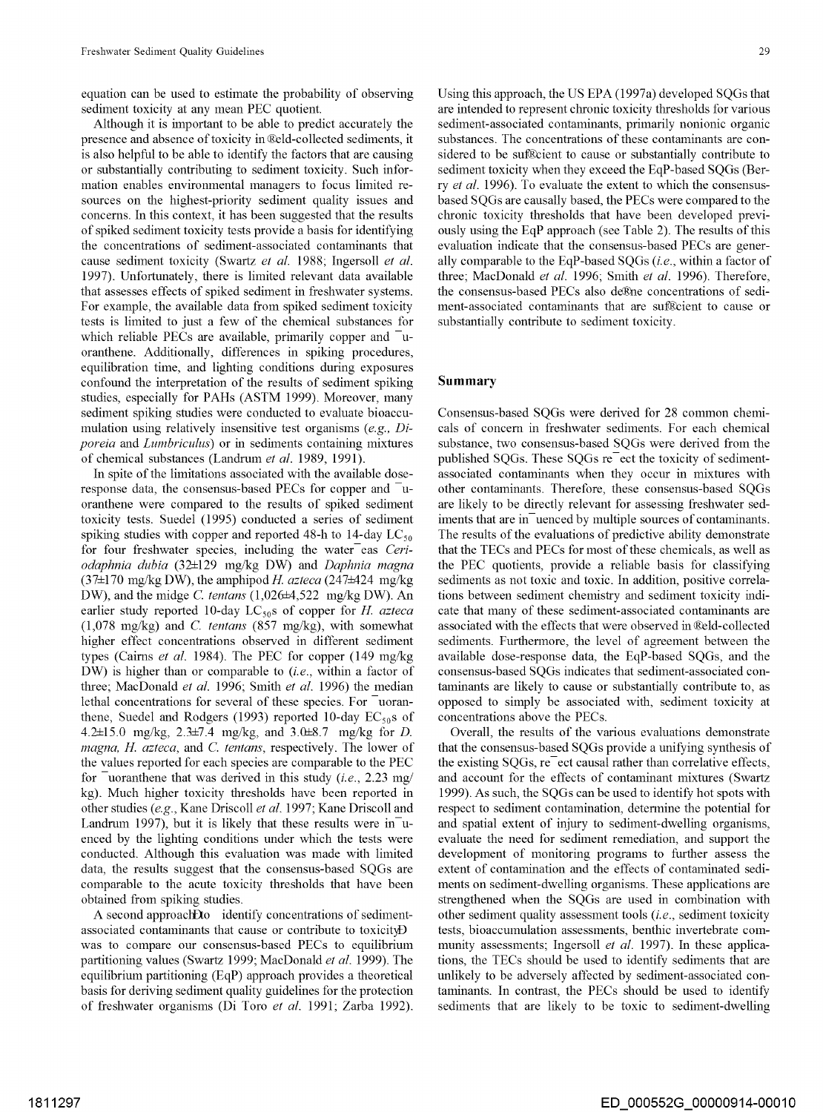equation can be used to estimate the probability of observing sediment toxicity at any mean PEC quotient.

Although it is important to be able to predict accurately the presence and absence of toxicity in ®eld-collected sediments, it is also helpful to be able to identify the factors that are causing or substantially contributing to sediment toxicity. Such information enables environmental managers to focus limited resources on the highest-priority sediment quality issues and concerns. In this context, it has been suggested that the results of spiked sediment toxicity tests provide a basis for identifying the concentrations of sediment-associated contaminants that cause sediment toxicity (Swartz *et al.* 1988; Ingersoll *et al.*  1997). Unfortunately, there is limited relevant data available that assesses effects of spiked sediment in freshwater systems. For example, the available data from spiked sediment toxicity tests is limited to just a few of the chemical substances for which reliable PECs are available, primarily copper and  $\bar{u}$ oranthene. Additionally, differences in spiking procedures, equilibration time, and lighting conditions during exposures confound the interpretation of the results of sediment spiking studies, especially for PAHs (ASTM 1999). Moreover, many sediment spiking studies were conducted to evaluate bioaccumulation using relatively insensitive test organisms *(e.g., Diporeia* and *Lumbriculus)* or in sediments containing mixtures of chemical substances (Landrum *et al.* 1989, 1991).

In spite of the limitations associated with the available doseresponse data, the consensus-based PECs for copper and  $\bar{u}$ oranthene were compared to the results of spiked sediment toxicity tests. Suede! (1995) conducted a series of sediment spiking studies with copper and reported 48-h to 14-day  $LC_{50}$ for four freshwater species, including the water<sup>eas Ceri-</sup> *odaphnia dubia* (32±129 mg/kg DW) and *Daphnia magna*  (37±170 mg/kg DW), the amphipodH *azteca* (247±424 mg/kg DW), and the midge C. *tentans* (1,026±4,522 mg/kg DW). An earlier study reported 10-day LC<sub>50</sub>s of copper for *H. azteca* (1,078 mg/kg) and C. *tentans* (857 mg/kg), with somewhat higher effect concentrations observed in different sediment types (Cairns *et al.* 1984). The PEC for copper (149 mg/kg DW) is higher than or comparable to *(i.e.,* within a factor of three; MacDonald *et al.* 1996; Smith *et al.* 1996) the median lethal concentrations for several of these species. For uoranthene, Suedel and Rodgers (1993) reported 10-day  $EC_{50}$ s of 4.2±15.0 mg/kg, 2.3±7.4 mg/kg, and 3.0±8.7 mg/kg for *D. magna, H azteca,* and C. *tentans,* respectively. The lower of the values reported for each species are comparable to the PEC for <sup>-</sup>uoranthene that was derived in this study *(i.e., 2.23 mg/* kg). Much higher toxicity thresholds have been reported in other studies *(e.g.,* Kane Driscoll *et al.* 1997; Kane Driscoll and Landrum 1997), but it is likely that these results were  $in$ <sup>-</sup>uenced by the lighting conditions under which the tests were conducted. Although this evaluation was made with limited data, the results suggest that the consensus-based SQGs are comparable to the acute toxicity thresholds that have been obtained from spiking studies.

A second approach Dto identify concentrations of sedimentassociated contaminants that cause or contribute to toxicityD was to compare our consensus-based PECs to equilibrium partitioning values (Swartz 1999; MacDonald *et al.* 1999). The equilibrium partitioning (EqP) approach provides a theoretical basis for deriving sediment quality guidelines for the protection of freshwater organisms (Di Toro *et al.* 1991; Zarba 1992).

Using this approach, the US EPA (1997a) developed SQGs that are intended to represent chronic toxicity thresholds for various sediment-associated contaminants, primarily nonionic organic substances. The concentrations of these contaminants are considered to be sufficient to cause or substantially contribute to sediment toxicity when they exceed the EqP-based SQGs (Berry *et al.* 1996). To evaluate the extent to which the consensusbased SQGs are causally based, the PECs were compared to the chronic toxicity thresholds that have been developed previously using the EqP approach (see Table 2). The results of this evaluation indicate that the consensus-based PECs are generally comparable to the EqP-based SQGs *(i.e.,* within a factor of three; MacDonald *et al.* 1996; Smith *et al.* 1996). Therefore, the consensus-based PECs also de®ne concentrations of sediment-associated contaminants that are sufficient to cause or substantially contribute to sediment toxicity.

### **Summary**

Consensus-based SQGs were derived for 28 common chemicals of concern in freshwater sediments. For each chemical substance, two consensus-based SQGs were derived from the published SQGs. These SQGs re ect the toxicity of sedimentassociated contaminants when they occur in mixtures with other contaminants. Therefore, these consensus-based SQGs are likely to be directly relevant for assessing freshwater sediments that are in uenced by multiple sources of contaminants. The results of the evaluations of predictive ability demonstrate that the TECs and PECs for most of these chemicals, as well as the PEC quotients, provide a reliable basis for classifying sediments as not toxic and toxic. In addition, positive correlations between sediment chemistry and sediment toxicity indicate that many of these sediment-associated contaminants are associated with the effects that were observed in Reld-collected sediments. Furthermore, the level of agreement between the available dose-response data, the EqP-based SQGs, and the consensus-based SQGs indicates that sediment-associated contaminants are likely to cause or substantially contribute to, as opposed to simply be associated with, sediment toxicity at concentrations above the PECs.

Overall, the results of the various evaluations demonstrate that the consensus-based SQGs provide a unifying synthesis of the existing SQGs, re ect causal rather than correlative effects, and account for the effects of contaminant mixtures (Swartz 1999). As such, the SQGs can be used to identify hot spots with respect to sediment contamination, determine the potential for and spatial extent of injury to sediment-dwelling organisms, evaluate the need for sediment remediation, and support the development of monitoring programs to further assess the extent of contamination and the effects of contaminated sediments on sediment-dwelling organisms. These applications are strengthened when the SQGs are used in combination with other sediment quality assessment tools *(i.e.,* sediment toxicity tests, bioaccumulation assessments, benthic invertebrate community assessments; Ingersoll *et al.* 1997). In these applications, the TECs should be used to identify sediments that are unlikely to be adversely affected by sediment-associated contaminants. In contrast, the PECs should be used to identify sediments that are likely to be toxic to sediment-dwelling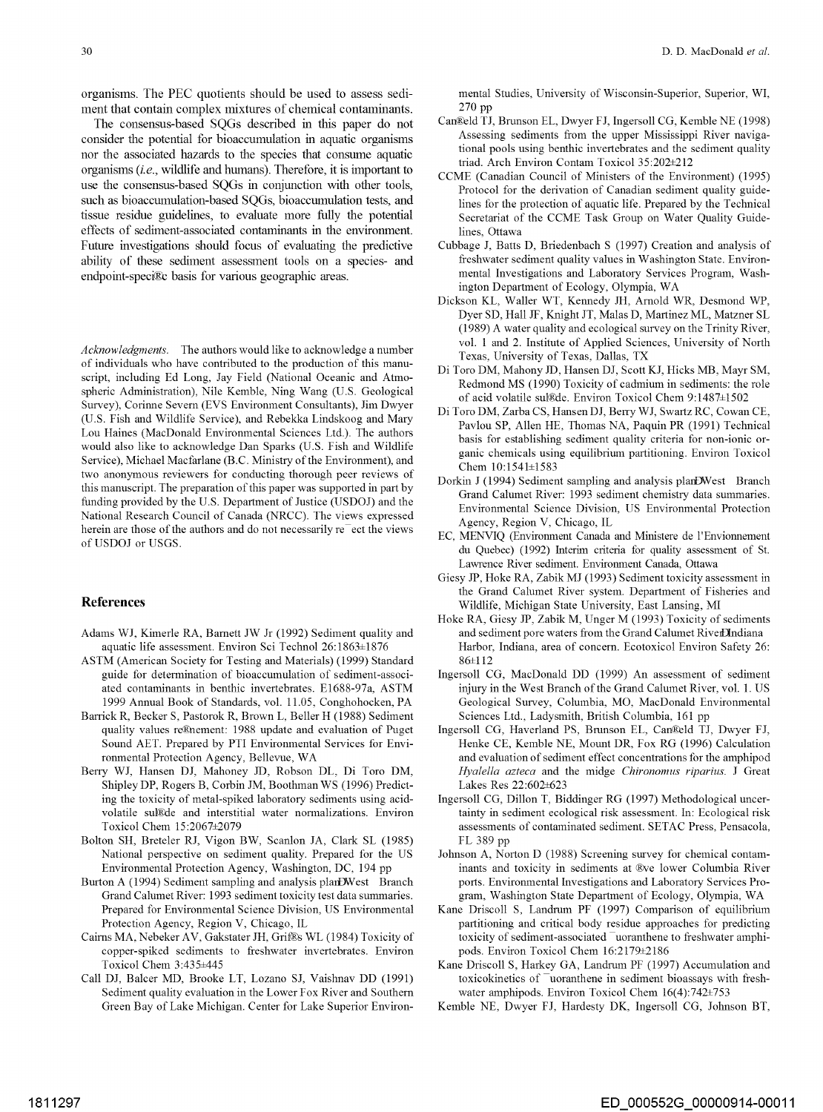organisms. The PEC quotients should be used to assess sediment that contain complex mixtures of chemical contaminants.

The consensus-based SQGs described in this paper do not consider the potential for bioaccumulation in aquatic organisms nor the associated hazards to the species that consume aquatic organisms *(i.e.,* wildlife and humans). Therefore, it is important to use the consensus-based SQGs in conjunction with other tools, such as bioaccumulation-based SQGs, bioaccumulation tests, and tissue residue guidelines, to evaluate more fully the potential effects of sediment-associated contaminants in the environment. Future investigations should focus of evaluating the predictive ability of these sediment assessment tools on a species- and endpoint-speci®c basis for various geographic areas.

*Acknowledgments.* The authors would like to acknowledge a number of individuals who have contributed to the production of this manuscript, including Ed Long, Jay Field (National Oceanic and Atmospheric Administration), Nile Kemble, Ning Wang (U.S. Geological Survey), Corinne Severn (EVS Environment Consultants), Jim Dwyer (U.S. Fish and Wildlife Service), and Rebekka Lindskoog and Mary Lou Haines (MacDonald Environmental Sciences Ltd.). The authors would also like to acknowledge Dan Sparks (U.S. Fish and Wildlife Service), Michael Macfarlane (B.C. Ministry of the Environment), and two anonymous reviewers for conducting thorough peer reviews of this manuscript. The preparation of this paper was supported in pati by funding provided by the U.S. Depatiment of Justice (USDOJ) and the National Research Council of Canada (NRCC). The views expressed herein are those of the authors and do not necessarily re<sup>-</sup>ect the views of USDOJ or USGS.

## **References**

- Adams WJ, Kimerle RA, Barnett JW Jr (1992) Sediment quality and aquatic life assessment. Environ Sci Technol 26:1863±1876
- ASTM (American Society for Testing and Materials) (1999) Standard guide for determination of bioaccumulation of sediment-associated contaminants in benthic invertebrates. El688-97a, ASTM 1999 Annual Book of Standards, vol. 11.05, Conghohocken, PA
- Barrick R, Becker S, Pastorok R, Brown L, Beller H (1988) Sediment quality values re®lement: 1988 update and evaluation of Puget Sound AET. Prepared by PTI Environmental Services for Environmental Protection Agency, Bellevue, WA
- Berry WJ, Hansen DJ, Mahoney JD, Robson DL, Di Toro DM, Shipley DP, Rogers B, Corbin JM, Boothman WS (1996) Predicting the toxicity of metal-spiked laboratory sediments using acidvolatile sul@de and interstitial water normalizations. Environ Toxicol Chem 15:2067±2079
- Bolton SH, Breteler RJ, Vigon BW, Scanlon JA, Clark SL (1985) National perspective on sediment quality. Prepared for the US Environmental Protection Agency, Washington, DC, 194 pp
- Burton A (1994) Sediment sampling and analysis plarDWest Branch Grand Calumet River: 1993 sediment toxicity test data summaries. Prepared for Environmental Science Division, US Environmental Protection Agency, Region V, Chicago, IL
- Cairns MA, Nebeker AV, Gakstater JH, Grif&s WL (1984) Toxicity of copper-spiked sediments to freshwater invertebrates. Environ Toxicol Chem 3:435±445
- Call DJ, Balcer MD, Brooke LT, Lozano SJ, Vaishnav DD (1991) Sediment quality evaluation in the Lower Fox River and Southern Green Bay of Lake Michigan. Center for Lake Superior Environ-

mental Studies, University of Wisconsin-Superior, Superior, WI, 270 pp

- Can!Eeld TJ, Brunson EL, Dwyer FJ, Ingersoll CG, Kemble NE (1998) Assessing sediments from the upper Mississippi River navigational pools using benthic invertebrates and the sediment quality triad. Arch Environ Contam Toxicol 35:202±212
- CCME (Canadian Council of Ministers of the Environment) (1995) Protocol for the derivation of Canadian sediment quality guidelines for the protection of aquatic life. Prepared by the Technical Secretariat of the CCME Task Group on Water Quality Guidelines, Ottawa
- Cubbage J, Batts D, Briedenbach S (1997) Creation and analysis of freshwater sediment quality values in Washington State. Environmental Investigations and Laboratory Services Program, Washington Department of Ecology, Olympia, WA
- Dickson KL, Waller WT, Kennedy JH, Arnold WR, Desmond WP, Dyer SD, Hall JF, Knight JT, Malas D, Martinez ML, Matzner SL (1989) A water quality and ecological survey on the Trinity River, vol. 1 and 2. Institute of Applied Sciences, University of North Texas, University of Texas, Dallas, TX
- Di Toro DM, Mahony JD, Hansen DJ, Scott KJ, Hicks MB, Mayr SM, Redmond MS (1990) Toxicity of cadmium in sediments: the role of acid volatile sull&de. Environ Toxicol Chem 9:1487±1502
- Di Toro DM, Zarba CS, Hansen DJ, Beny WJ, Swartz RC, Cowan CE, Pavlou SP, Allen HE, Thomas NA, Paquin PR (1991) Technical basis for establishing sediment quality criteria for non-ionic organic chemicals using equilibrium patiitioning. Environ Toxicol Chem 10:1541±1583
- Dorkin J (1994) Sediment sampling and analysis planDWest Branch Grand Calumet River: 1993 sediment chemistry data summaries. Environmental Science Division, US Environmental Protection Agency, Region V, Chicago, IL
- EC, MENVIQ (Enviromnent Canada and Ministere de l'Envionnement du Quebec) (1992) Interim criteria for quality assessment of St. Lawrence River sediment. Enviromnent Canada, Ottawa
- Giesy JP, Hoke RA, Zabik MJ (1993) Sediment toxicity assessment in the Grand Calumet River system. Department of Fisheries and Wildlife, Michigan State University, East Lansing, MI
- Hoke RA, Giesy JP, Zabik M, Unger M (1993) Toxicity of sediments and sediment pore waters from the Grand Calumet RiverDindiana Harbor, Indiana, area of concern. Ecotoxicol Environ Safety 26: 86±112
- Ingersoll CG, MacDonald DD (1999) An assessment of sediment injury in the West Branch of the Grand Calumet River, vol. 1. US Geological Survey, Columbia, MO, MacDonald Environmental Sciences Ltd., Ladysmith, British Columbia, 161 pp
- Ingersoll CG, Haverland PS, Brunson EL, Can®eld TJ, Dwyer FJ, Henke CE, Kemble NE, Mount DR, Fox RG (1996) Calculation and evaluation of sediment effect concentrations for the amphipod *Hyalella azteca* and the midge *Chironomus riparius.* J Great Lakes Res 22:602±623
- Ingersoll CG, Dillon T, Biddinger RG (1997) Methodological uncertainty in sediment ecological risk assessment. In: Ecological risk assessments of contaminated sediment. SETAC Press, Pensacola, FL 389 pp
- Johnson A, Norton D (1988) Screening survey for chemical contaminants and toxicity in sediments at ®ve lower Columbia River ports. Environmental Investigations and Laboratory Services Program, Washington State Department of Ecology, Olympia, WA
- Kane Driscoll S, Landrum PF (1997) Comparison of equilibrium patiitioning and critical body residue approaches for predicting toxicity of sediment-associated uoranthene to freshwater amphipods. Environ Toxicol Chem 16:2179±2186
- Kane Driscoll S, Harkey GA, Landrum PF (1997) Accumulation and toxicokinetics of <sup>-</sup>uoranthene in sediment bioassays with freshwater amphipods. Environ Toxicol Chem 16(4):742±753
- Kemble NE, Dwyer FJ, Hardesty DK, Ingersoll CG, Johnson BT,